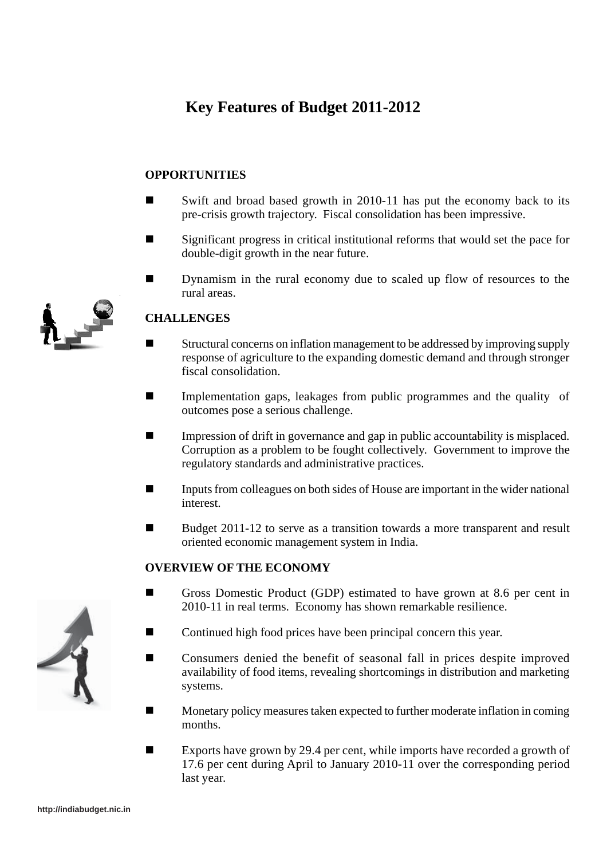# **Key Features of Budget 2011-2012**

### **OPPORTUNITIES**

- Swift and broad based growth in 2010-11 has put the economy back to its pre-crisis growth trajectory. Fiscal consolidation has been impressive.
- Significant progress in critical institutional reforms that would set the pace for double-digit growth in the near future.
- **Dynamism in the rural economy due to scaled up flow of resources to the** rural areas.

# **CHALLENGES**

- Structural concerns on inflation management to be addressed by improving supply response of agriculture to the expanding domestic demand and through stronger fiscal consolidation.
- Implementation gaps, leakages from public programmes and the quality of outcomes pose a serious challenge.
- Impression of drift in governance and gap in public accountability is misplaced. Corruption as a problem to be fought collectively. Government to improve the regulatory standards and administrative practices.
- Inputs from colleagues on both sides of House are important in the wider national interest.
- Budget 2011-12 to serve as a transition towards a more transparent and result oriented economic management system in India.

### **OVERVIEW OF THE ECONOMY**

- Gross Domestic Product (GDP) estimated to have grown at 8.6 per cent in 2010-11 in real terms. Economy has shown remarkable resilience.
	- Continued high food prices have been principal concern this year.
- Consumers denied the benefit of seasonal fall in prices despite improved availability of food items, revealing shortcomings in distribution and marketing systems.
- **Monetary policy measures taken expected to further moderate inflation in coming** months.
- Exports have grown by 29.4 per cent, while imports have recorded a growth of 17.6 per cent during April to January 2010-11 over the corresponding period last year.



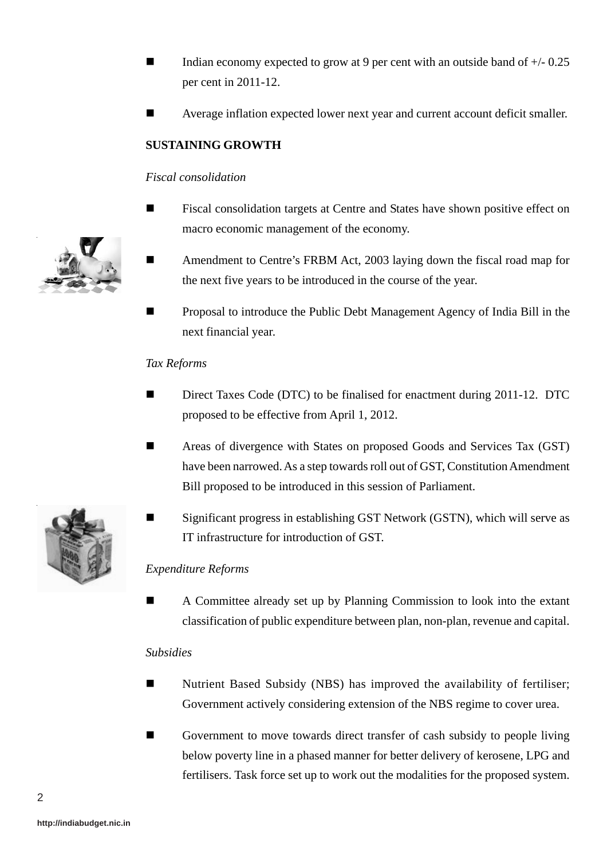- Indian economy expected to grow at 9 per cent with an outside band of +/- 0.25 per cent in 2011-12.
- Average inflation expected lower next year and current account deficit smaller.

# **SUSTAINING GROWTH**

#### *Fiscal consolidation*

- Fiscal consolidation targets at Centre and States have shown positive effect on macro economic management of the economy.
- Amendment to Centre's FRBM Act, 2003 laying down the fiscal road map for the next five years to be introduced in the course of the year.
- Proposal to introduce the Public Debt Management Agency of India Bill in the next financial year.

#### *Tax Reforms*

- Direct Taxes Code (DTC) to be finalised for enactment during 2011-12. DTC proposed to be effective from April 1, 2012.
- Areas of divergence with States on proposed Goods and Services Tax (GST) have been narrowed. As a step towards roll out of GST, Constitution Amendment Bill proposed to be introduced in this session of Parliament.
- Significant progress in establishing GST Network (GSTN), which will serve as IT infrastructure for introduction of GST.

### *Expenditure Reforms*

 A Committee already set up by Planning Commission to look into the extant classification of public expenditure between plan, non-plan, revenue and capital.

#### *Subsidies*

- Nutrient Based Subsidy (NBS) has improved the availability of fertiliser; Government actively considering extension of the NBS regime to cover urea.
- Government to move towards direct transfer of cash subsidy to people living below poverty line in a phased manner for better delivery of kerosene, LPG and fertilisers. Task force set up to work out the modalities for the proposed system.



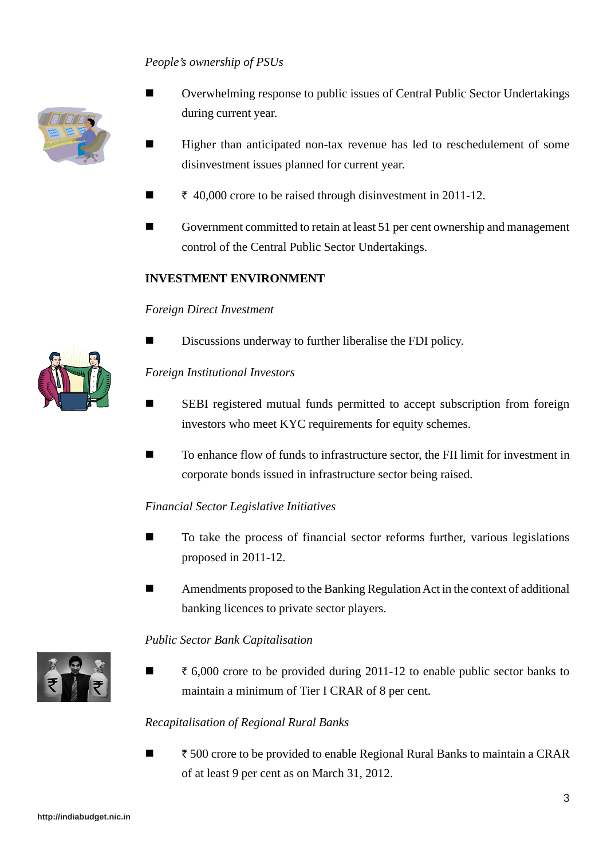# *People's ownership of PSUs*



- Overwhelming response to public issues of Central Public Sector Undertakings during current year.
- Higher than anticipated non-tax revenue has led to reschedulement of some disinvestment issues planned for current year.
- $\bar{\tau}$  40,000 crore to be raised through disinvestment in 2011-12.
- Government committed to retain at least 51 per cent ownership and management control of the Central Public Sector Undertakings.

#### **INVESTMENT ENVIRONMENT**

#### *Foreign Direct Investment*

Discussions underway to further liberalise the FDI policy.

#### *Foreign Institutional Investors*

- SEBI registered mutual funds permitted to accept subscription from foreign investors who meet KYC requirements for equity schemes.
- To enhance flow of funds to infrastructure sector, the FII limit for investment in corporate bonds issued in infrastructure sector being raised.

#### *Financial Sector Legislative Initiatives*

- To take the process of financial sector reforms further, various legislations proposed in 2011-12.
- Amendments proposed to the Banking Regulation Act in the context of additional banking licences to private sector players.

#### *Public Sector Bank Capitalisation*



 $\blacksquare$   $\bar{\ell}$  6,000 crore to be provided during 2011-12 to enable public sector banks to maintain a minimum of Tier I CRAR of 8 per cent.

### *Recapitalisation of Regional Rural Banks*

 $\blacksquare$   $\bar{\ell}$  500 crore to be provided to enable Regional Rural Banks to maintain a CRAR of at least 9 per cent as on March 31, 2012.

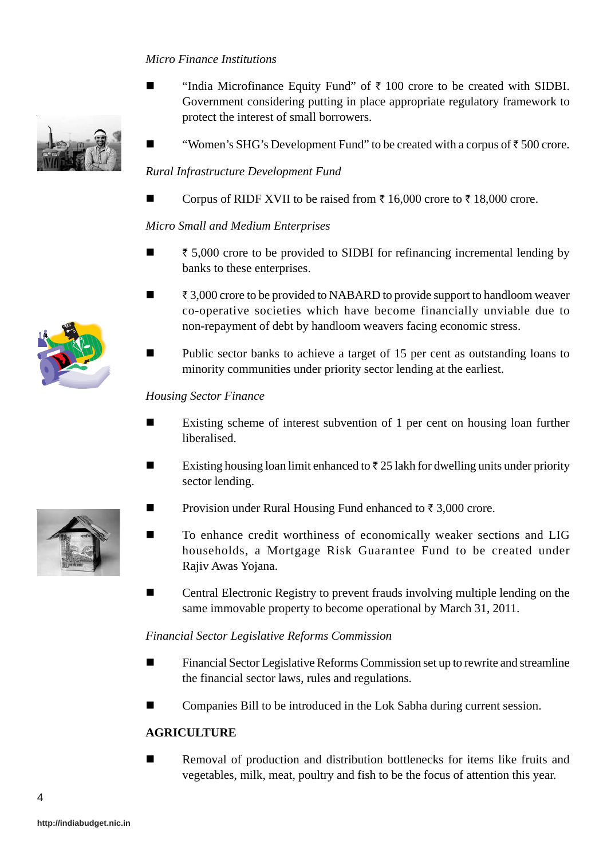# *Micro Finance Institutions*

- "India Microfinance Equity Fund" of  $\bar{\tau}$  100 crore to be created with SIDBI. Government considering putting in place appropriate regulatory framework to protect the interest of small borrowers.
- **"Women's SHG's Development Fund" to be created with a corpus of**  $\bar{\tau}$  **500 crore.**

#### *Rural Infrastructure Development Fund*

Corpus of RIDF XVII to be raised from  $\bar{\tau}$  16,000 crore to  $\bar{\tau}$  18,000 crore.

#### *Micro Small and Medium Enterprises*

- $\blacksquare$   $\uparrow$  5,000 crore to be provided to SIDBI for refinancing incremental lending by banks to these enterprises.
- $\blacksquare$   $\bar{\tau}$  3,000 crore to be provided to NABARD to provide support to handloom weaver co-operative societies which have become financially unviable due to non-repayment of debt by handloom weavers facing economic stress.
- Public sector banks to achieve a target of 15 per cent as outstanding loans to minority communities under priority sector lending at the earliest.

#### *Housing Sector Finance*

- Existing scheme of interest subvention of 1 per cent on housing loan further liberalised.
- Existing housing loan limit enhanced to  $\bar{\tau}$  25 lakh for dwelling units under priority sector lending.
- Provision under Rural Housing Fund enhanced to  $\bar{\tau}$  3,000 crore.
- To enhance credit worthiness of economically weaker sections and LIG households, a Mortgage Risk Guarantee Fund to be created under Rajiv Awas Yojana.
- Central Electronic Registry to prevent frauds involving multiple lending on the same immovable property to become operational by March 31, 2011.

#### *Financial Sector Legislative Reforms Commission*

- Financial Sector Legislative Reforms Commission set up to rewrite and streamline the financial sector laws, rules and regulations.
- Companies Bill to be introduced in the Lok Sabha during current session.

### **AGRICULTURE**

 Removal of production and distribution bottlenecks for items like fruits and vegetables, milk, meat, poultry and fish to be the focus of attention this year.



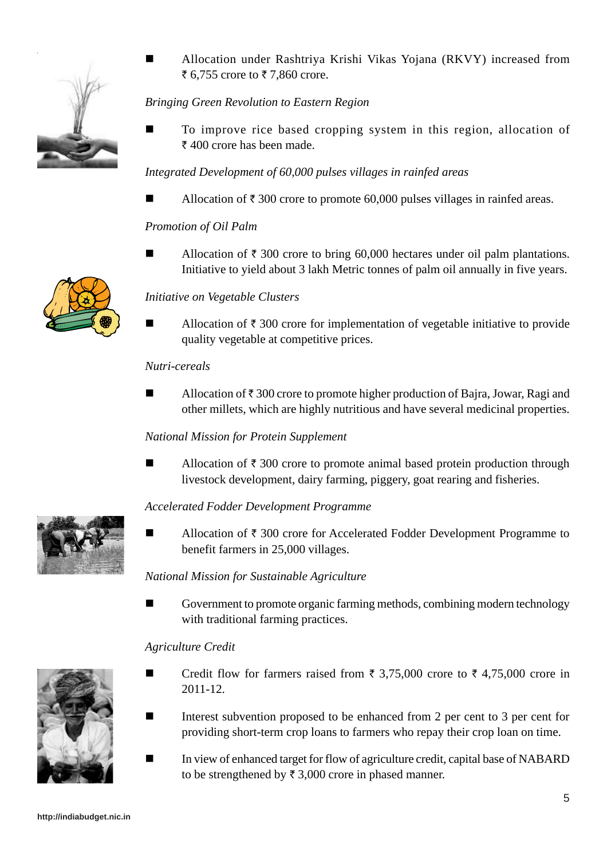

 Allocation under Rashtriya Krishi Vikas Yojana (RKVY) increased from ₹ 6,755 crore to  $\bar{x}$  7,860 crore.

# *Bringing Green Revolution to Eastern Region*

 To improve rice based cropping system in this region, allocation of  $\bar{\tau}$  400 crore has been made.

# *Integrated Development of 60,000 pulses villages in rainfed areas*

Allocation of  $\bar{\tau}$  300 crore to promote 60,000 pulses villages in rainfed areas.

# *Promotion of Oil Palm*

Allocation of  $\bar{\tau}$  300 crore to bring 60,000 hectares under oil palm plantations. Initiative to yield about 3 lakh Metric tonnes of palm oil annually in five years.



# *Initiative on Vegetable Clusters*

Allocation of  $\bar{\tau}$  300 crore for implementation of vegetable initiative to provide quality vegetable at competitive prices.

#### *Nutri-cereals*

Allocation of  $\bar{\tau}$  300 crore to promote higher production of Bajra, Jowar, Ragi and other millets, which are highly nutritious and have several medicinal properties.

### *National Mission for Protein Supplement*

Allocation of  $\bar{\tau}$  300 crore to promote animal based protein production through livestock development, dairy farming, piggery, goat rearing and fisheries.

### *Accelerated Fodder Development Programme*

Allocation of  $\bar{\tau}$  300 crore for Accelerated Fodder Development Programme to benefit farmers in 25,000 villages.

### *National Mission for Sustainable Agriculture*

 Government to promote organic farming methods, combining modern technology with traditional farming practices.

### *Agriculture Credit*

- Credit flow for farmers raised from  $\bar{\tau}$  3,75,000 crore to  $\bar{\tau}$  4,75,000 crore in 2011-12.
- Interest subvention proposed to be enhanced from 2 per cent to 3 per cent for providing short-term crop loans to farmers who repay their crop loan on time.
- In view of enhanced target for flow of agriculture credit, capital base of NABARD to be strengthened by  $\bar{\tau}$  3,000 crore in phased manner.



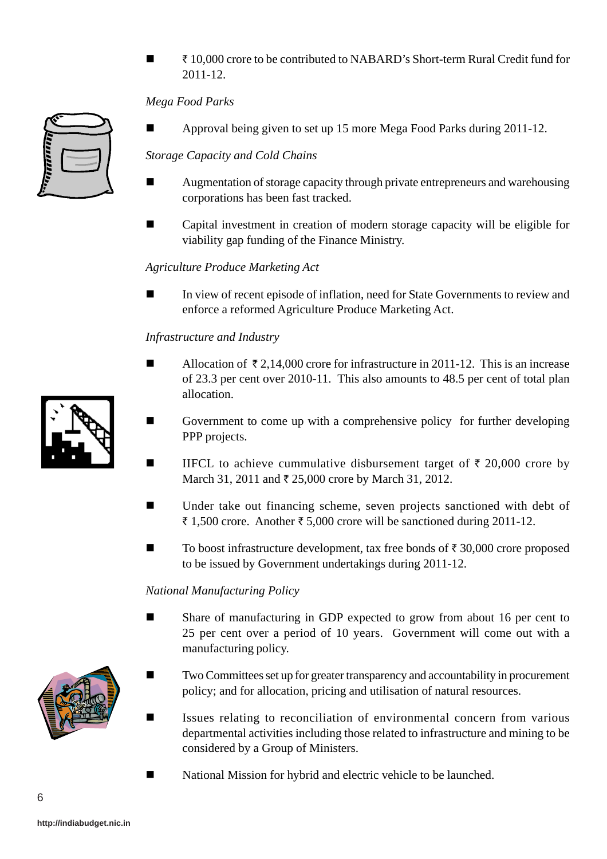` 10,000 crore to be contributed to NABARD's Short-term Rural Credit fund for 2011-12.

# *Mega Food Parks*



Approval being given to set up 15 more Mega Food Parks during 2011-12.

### *Storage Capacity and Cold Chains*

- **E** Augmentation of storage capacity through private entrepreneurs and warehousing corporations has been fast tracked.
- Capital investment in creation of modern storage capacity will be eligible for viability gap funding of the Finance Ministry.

#### *Agriculture Produce Marketing Act*

In view of recent episode of inflation, need for State Governments to review and enforce a reformed Agriculture Produce Marketing Act.

#### *Infrastructure and Industry*

- Allocation of  $\overline{z}$  2,14,000 crore for infrastructure in 2011-12. This is an increase of 23.3 per cent over 2010-11. This also amounts to 48.5 per cent of total plan allocation.
- Government to come up with a comprehensive policy for further developing PPP projects.
- IIFCL to achieve cummulative disbursement target of  $\bar{\tau}$  20,000 crore by March 31, 2011 and  $\bar{\tau}$  25,000 crore by March 31, 2012.
- Under take out financing scheme, seven projects sanctioned with debt of ₹ 1,500 crore. Another ₹ 5,000 crore will be sanctioned during 2011-12.
- $\blacksquare$  To boost infrastructure development, tax free bonds of  $\bar{\tau}$  30,000 crore proposed to be issued by Government undertakings during 2011-12.

#### *National Manufacturing Policy*

- Share of manufacturing in GDP expected to grow from about 16 per cent to 25 per cent over a period of 10 years. Government will come out with a manufacturing policy.
- Two Committees set up for greater transparency and accountability in procurement policy; and for allocation, pricing and utilisation of natural resources.
	- Issues relating to reconciliation of environmental concern from various departmental activities including those related to infrastructure and mining to be considered by a Group of Ministers.
- National Mission for hybrid and electric vehicle to be launched.



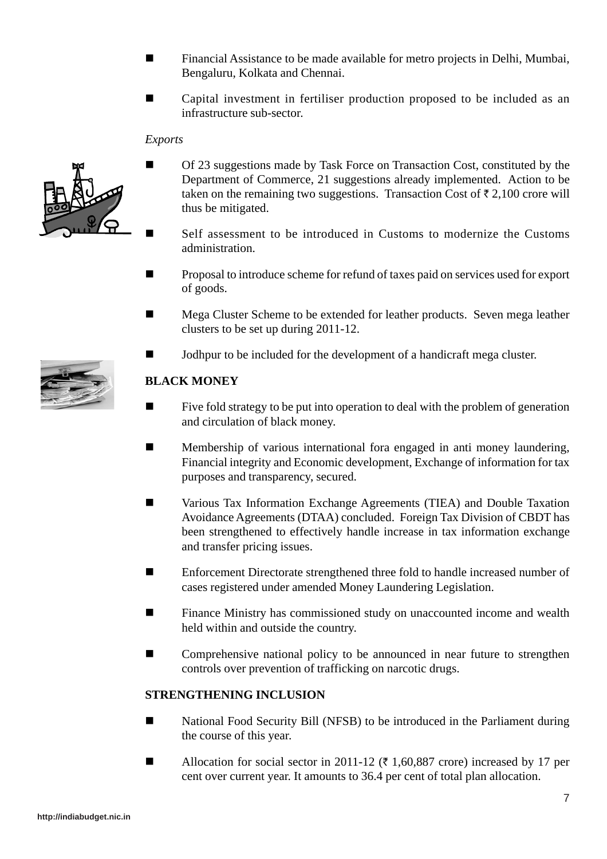- **Financial Assistance to be made available for metro projects in Delhi, Mumbai,** Bengaluru, Kolkata and Chennai.
- Capital investment in fertiliser production proposed to be included as an infrastructure sub-sector.

#### *Exports*



- Of 23 suggestions made by Task Force on Transaction Cost, constituted by the Department of Commerce, 21 suggestions already implemented. Action to be taken on the remaining two suggestions. Transaction Cost of  $\bar{\tau}$  2,100 crore will thus be mitigated.
	- Self assessment to be introduced in Customs to modernize the Customs administration.
- Proposal to introduce scheme for refund of taxes paid on services used for export of goods.
- **Mega Cluster Scheme to be extended for leather products. Seven mega leather** clusters to be set up during 2011-12.
- Jodhpur to be included for the development of a handicraft mega cluster.

### **BLACK MONEY**

- Five fold strategy to be put into operation to deal with the problem of generation and circulation of black money.
- **Membership of various international fora engaged in anti money laundering,** Financial integrity and Economic development, Exchange of information for tax purposes and transparency, secured.
- Various Tax Information Exchange Agreements (TIEA) and Double Taxation Avoidance Agreements (DTAA) concluded. Foreign Tax Division of CBDT has been strengthened to effectively handle increase in tax information exchange and transfer pricing issues.
- Enforcement Directorate strengthened three fold to handle increased number of cases registered under amended Money Laundering Legislation.
- **EXECUTE:** Finance Ministry has commissioned study on unaccounted income and wealth held within and outside the country.
- **EXECOM** Comprehensive national policy to be announced in near future to strengthen controls over prevention of trafficking on narcotic drugs.

### **STRENGTHENING INCLUSION**

- National Food Security Bill (NFSB) to be introduced in the Parliament during the course of this year.
- Allocation for social sector in 2011-12 ( $\bar{\tau}$  1,60,887 crore) increased by 17 per cent over current year. It amounts to 36.4 per cent of total plan allocation.

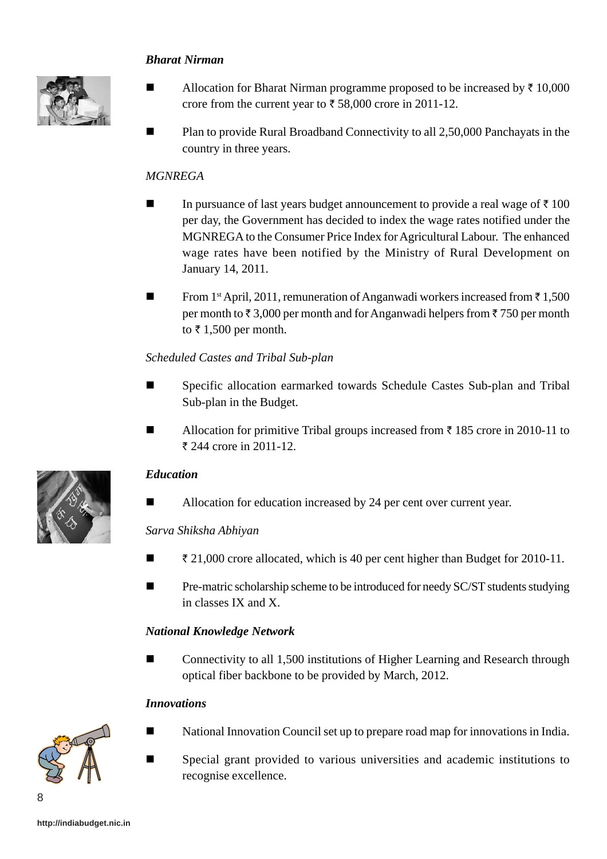# *Bharat Nirman*



- Allocation for Bharat Nirman programme proposed to be increased by  $\bar{\tau}$  10,000 crore from the current year to  $\bar{\tau}$  58,000 crore in 2011-12.
- Plan to provide Rural Broadband Connectivity to all 2,50,000 Panchayats in the country in three years.

# *MGNREGA*

- In pursuance of last years budget announcement to provide a real wage of  $\bar{\tau}$  100 per day, the Government has decided to index the wage rates notified under the MGNREGA to the Consumer Price Index for Agricultural Labour. The enhanced wage rates have been notified by the Ministry of Rural Development on January 14, 2011.
- **From 1st April, 2011, remuneration of Anganwadi workers increased from**  $\bar{\tau}$  **1,500** per month to  $\bar{\tau}$  3,000 per month and for Anganwadi helpers from  $\bar{\tau}$  750 per month to  $\bar{\tau}$  1,500 per month.

### *Scheduled Castes and Tribal Sub-plan*

- Specific allocation earmarked towards Schedule Castes Sub-plan and Tribal Sub-plan in the Budget.
- Allocation for primitive Tribal groups increased from  $\bar{\tau}$  185 crore in 2010-11 to  $\bar{\tau}$  244 crore in 2011-12.

### *Education*

■ Allocation for education increased by 24 per cent over current year.

### *Sarva Shiksha Abhiyan*

- $\blacksquare$   $\uparrow$  21,000 crore allocated, which is 40 per cent higher than Budget for 2010-11.
- Pre-matric scholarship scheme to be introduced for needy SC/ST students studying in classes IX and X.

### *National Knowledge Network*

 Connectivity to all 1,500 institutions of Higher Learning and Research through optical fiber backbone to be provided by March, 2012.

### *Innovations*

8

- National Innovation Council set up to prepare road map for innovations in India.
- Special grant provided to various universities and academic institutions to recognise excellence.

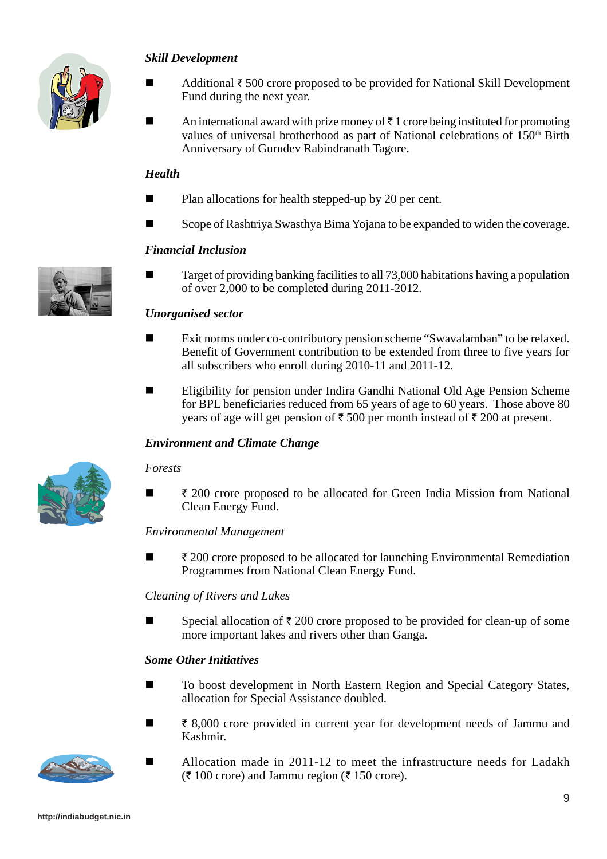

#### *Skill Development*

- Additional  $\bar{\tau}$  500 crore proposed to be provided for National Skill Development Fund during the next year.
- An international award with prize money of  $\bar{\tau}$  1 crore being instituted for promoting values of universal brotherhood as part of National celebrations of 150<sup>th</sup> Birth Anniversary of Gurudev Rabindranath Tagore.

#### *Health*

- Plan allocations for health stepped-up by 20 per cent.
- Scope of Rashtriya Swasthya Bima Yojana to be expanded to widen the coverage.

### *Financial Inclusion*

 $\blacksquare$  Target of providing banking facilities to all 73,000 habitations having a population of over 2,000 to be completed during 2011-2012.

### *Unorganised sector*

- Exit norms under co-contributory pension scheme "Swavalamban" to be relaxed. Benefit of Government contribution to be extended from three to five years for all subscribers who enroll during 2010-11 and 2011-12.
- Eligibility for pension under Indira Gandhi National Old Age Pension Scheme for BPL beneficiaries reduced from 65 years of age to 60 years. Those above 80 years of age will get pension of  $\bar{\tau}$  500 per month instead of  $\bar{\tau}$  200 at present.

#### *Environment and Climate Change*

#### *Forests*

 $\blacksquare$   $\bar{\ell}$  200 crore proposed to be allocated for Green India Mission from National Clean Energy Fund.

#### *Environmental Management*

 $\blacksquare$   $\ddot{\smash{z}}$  200 crore proposed to be allocated for launching Environmental Remediation Programmes from National Clean Energy Fund.

#### *Cleaning of Rivers and Lakes*

Special allocation of  $\bar{\tau}$  200 crore proposed to be provided for clean-up of some more important lakes and rivers other than Ganga.

#### *Some Other Initiatives*

- To boost development in North Eastern Region and Special Category States, allocation for Special Assistance doubled.
- $\bar{\xi}$  8,000 crore provided in current year for development needs of Jammu and Kashmir.
	- Allocation made in 2011-12 to meet the infrastructure needs for Ladakh  $(\bar{\tau} 100 \text{ core})$  and Jammu region ( $\bar{\tau} 150 \text{ core}$ ).



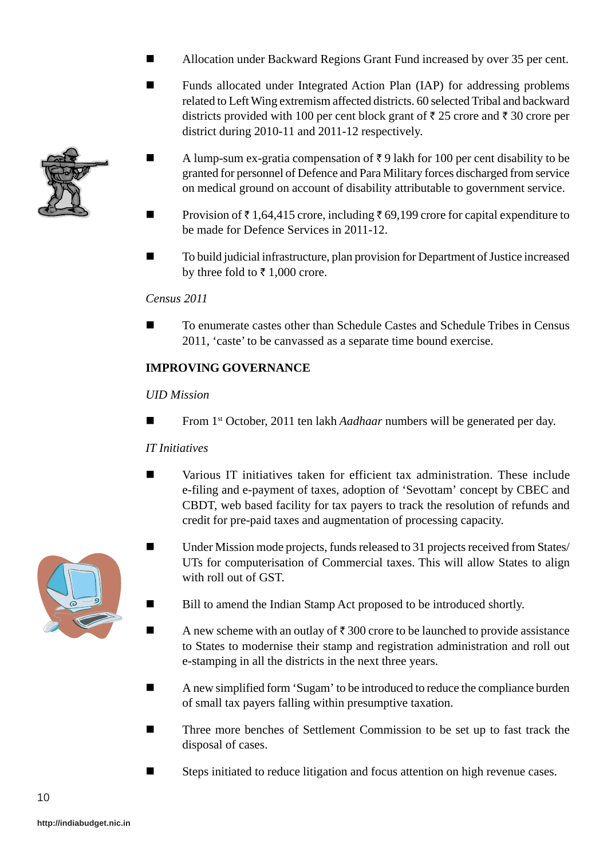- Allocation under Backward Regions Grant Fund increased by over 35 per cent.
- **Funds allocated under Integrated Action Plan (IAP) for addressing problems** related to Left Wing extremism affected districts. 60 selected Tribal and backward districts provided with 100 per cent block grant of  $\bar{\tau}$  25 crore and  $\bar{\tau}$  30 crore per district during 2010-11 and 2011-12 respectively.
- A lump-sum ex-gratia compensation of  $\bar{\tau}$  9 lakh for 100 per cent disability to be granted for personnel of Defence and Para Military forces discharged from service on medical ground on account of disability attributable to government service.
- **Provision of**  $\bar{\tau}$  **1,64,415 crore, including**  $\bar{\tau}$  **69,199 crore for capital expenditure to** be made for Defence Services in 2011-12.
- To build judicial infrastructure, plan provision for Department of Justice increased by three fold to  $\bar{\tau}$  1,000 crore.

# *Census 2011*

 To enumerate castes other than Schedule Castes and Schedule Tribes in Census 2011, 'caste' to be canvassed as a separate time bound exercise.

# **IMPROVING GOVERNANCE**

### *UID Mission*

From 1st October, 2011 ten lakh *Aadhaar* numbers will be generated per day.

### *IT Initiatives*

- Various IT initiatives taken for efficient tax administration. These include e-filing and e-payment of taxes, adoption of 'Sevottam' concept by CBEC and CBDT, web based facility for tax payers to track the resolution of refunds and credit for pre-paid taxes and augmentation of processing capacity.
- Under Mission mode projects, funds released to 31 projects received from States/ UTs for computerisation of Commercial taxes. This will allow States to align with roll out of GST.
	- Bill to amend the Indian Stamp Act proposed to be introduced shortly.
	- A new scheme with an outlay of  $\bar{\tau}$  300 crore to be launched to provide assistance to States to modernise their stamp and registration administration and roll out e-stamping in all the districts in the next three years.
- A new simplified form 'Sugam' to be introduced to reduce the compliance burden of small tax payers falling within presumptive taxation.
- Three more benches of Settlement Commission to be set up to fast track the disposal of cases.
- Steps initiated to reduce litigation and focus attention on high revenue cases.



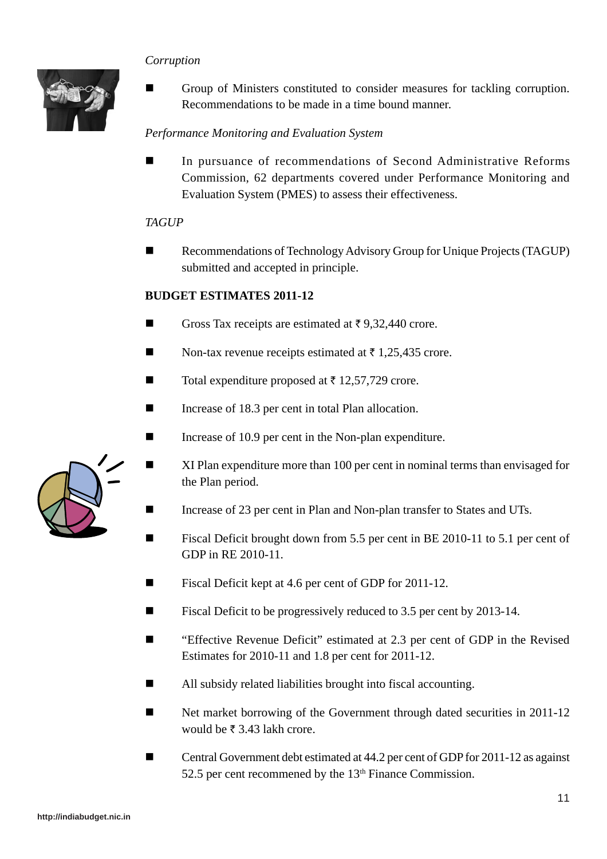# *Corruption*



 Group of Ministers constituted to consider measures for tackling corruption. Recommendations to be made in a time bound manner.

# *Performance Monitoring and Evaluation System*

 In pursuance of recommendations of Second Administrative Reforms Commission, 62 departments covered under Performance Monitoring and Evaluation System (PMES) to assess their effectiveness.

#### *TAGUP*

■ Recommendations of Technology Advisory Group for Unique Projects (TAGUP) submitted and accepted in principle.

#### **BUDGET ESTIMATES 2011-12**

- Gross Tax receipts are estimated at  $\bar{\tau}$  9,32,440 crore.
- Non-tax revenue receipts estimated at  $\bar{\tau}$  1,25,435 crore.
- Total expenditure proposed at  $\bar{\tau}$  12,57,729 crore.
- Increase of 18.3 per cent in total Plan allocation.
- Increase of 10.9 per cent in the Non-plan expenditure.
	- XI Plan expenditure more than 100 per cent in nominal terms than envisaged for the Plan period.
- Increase of 23 per cent in Plan and Non-plan transfer to States and UTs.
- Fiscal Deficit brought down from 5.5 per cent in BE 2010-11 to 5.1 per cent of GDP in RE 2010-11.
- Fiscal Deficit kept at 4.6 per cent of GDP for 2011-12.
- Fiscal Deficit to be progressively reduced to 3.5 per cent by 2013-14.
- "Effective Revenue Deficit" estimated at 2.3 per cent of GDP in the Revised Estimates for 2010-11 and 1.8 per cent for 2011-12.
- All subsidy related liabilities brought into fiscal accounting.
- Net market borrowing of the Government through dated securities in 2011-12 would be  $\bar{\tau}$  3.43 lakh crore.
- Central Government debt estimated at 44.2 per cent of GDP for 2011-12 as against 52.5 per cent recommened by the  $13<sup>th</sup>$  Finance Commission.

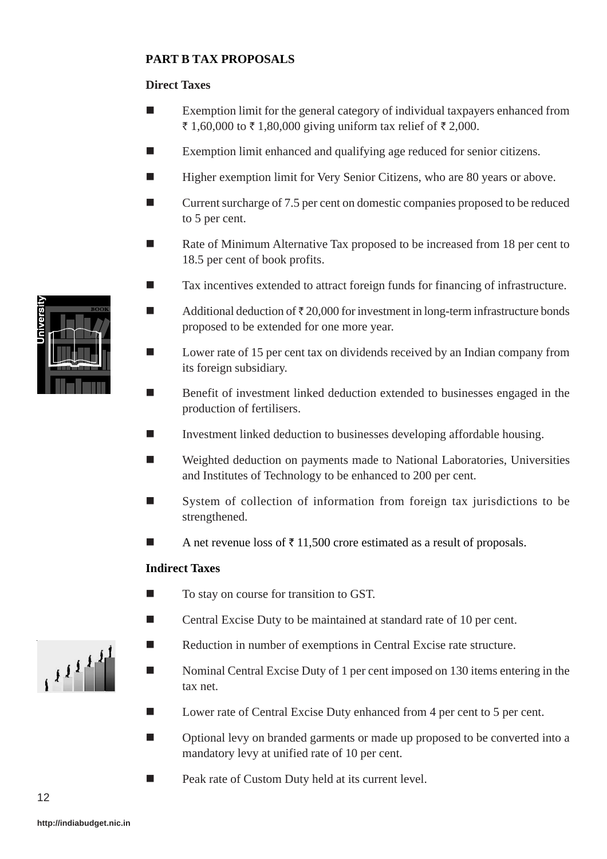# **PART B TAX PROPOSALS**

# **Direct Taxes**

- Exemption limit for the general category of individual taxpayers enhanced from ₹ 1,60,000 to ₹ 1,80,000 giving uniform tax relief of ₹ 2,000.
- Exemption limit enhanced and qualifying age reduced for senior citizens.
- Higher exemption limit for Very Senior Citizens, who are 80 years or above.
- Current surcharge of 7.5 per cent on domestic companies proposed to be reduced to 5 per cent.
- Rate of Minimum Alternative Tax proposed to be increased from 18 per cent to 18.5 per cent of book profits.
- Tax incentives extended to attract foreign funds for financing of infrastructure.
- Additional deduction of  $\bar{\tau}$  20,000 for investment in long-term infrastructure bonds proposed to be extended for one more year.
- Lower rate of 15 per cent tax on dividends received by an Indian company from its foreign subsidiary.
- Benefit of investment linked deduction extended to businesses engaged in the production of fertilisers.
- Investment linked deduction to businesses developing affordable housing.
- Weighted deduction on payments made to National Laboratories, Universities and Institutes of Technology to be enhanced to 200 per cent.
- System of collection of information from foreign tax jurisdictions to be strengthened.
- A net revenue loss of  $\bar{\tau}$  11,500 crore estimated as a result of proposals.

### **Indirect Taxes**

- To stay on course for transition to GST.
- Central Excise Duty to be maintained at standard rate of 10 per cent.
- Reduction in number of exemptions in Central Excise rate structure.
- Nominal Central Excise Duty of 1 per cent imposed on 130 items entering in the tax net.
- Lower rate of Central Excise Duty enhanced from 4 per cent to 5 per cent.
- Optional levy on branded garments or made up proposed to be converted into a mandatory levy at unified rate of 10 per cent.
- Peak rate of Custom Duty held at its current level.



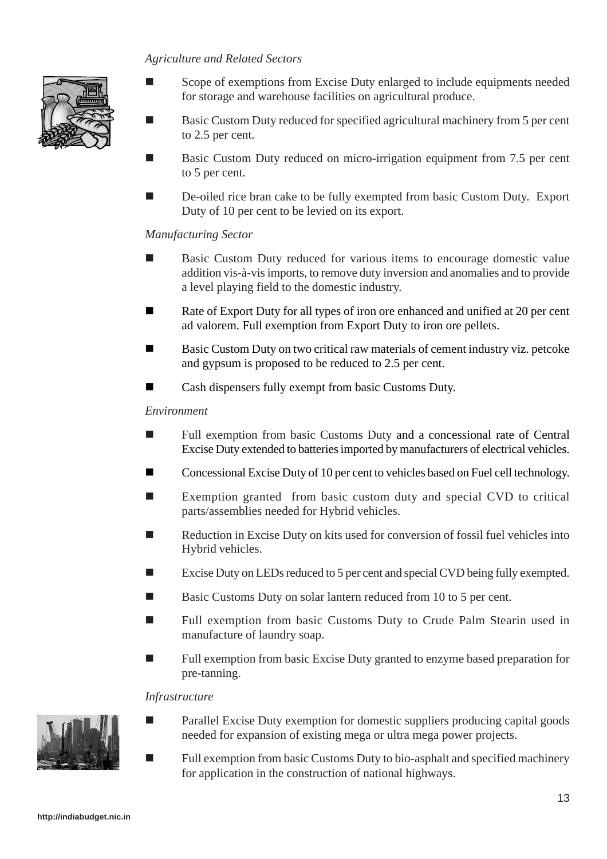#### *Agriculture and Related Sectors*



- Scope of exemptions from Excise Duty enlarged to include equipments needed for storage and warehouse facilities on agricultural produce.
- Basic Custom Duty reduced for specified agricultural machinery from 5 per cent to 2.5 per cent.
- Basic Custom Duty reduced on micro-irrigation equipment from 7.5 per cent to 5 per cent.
- De-oiled rice bran cake to be fully exempted from basic Custom Duty. Export Duty of 10 per cent to be levied on its export.

#### *Manufacturing Sector*

- Basic Custom Duty reduced for various items to encourage domestic value addition vis-à-vis imports, to remove duty inversion and anomalies and to provide a level playing field to the domestic industry.
- Rate of Export Duty for all types of iron ore enhanced and unified at 20 per cent ad valorem. Full exemption from Export Duty to iron ore pellets.
- **Basic Custom Duty on two critical raw materials of cement industry viz. petcoke** and gypsum is proposed to be reduced to 2.5 per cent.
- Cash dispensers fully exempt from basic Customs Duty.

#### *Environment*

- **Full exemption from basic Customs Duty and a concessional rate of Central** Excise Duty extended to batteries imported by manufacturers of electrical vehicles.
- Concessional Excise Duty of 10 per cent to vehicles based on Fuel cell technology.
- Exemption granted from basic custom duty and special CVD to critical parts/assemblies needed for Hybrid vehicles.
- Reduction in Excise Duty on kits used for conversion of fossil fuel vehicles into Hybrid vehicles.
- Excise Duty on LEDs reduced to 5 per cent and special CVD being fully exempted.
- Basic Customs Duty on solar lantern reduced from 10 to 5 per cent.
- Full exemption from basic Customs Duty to Crude Palm Stearin used in manufacture of laundry soap.
- Full exemption from basic Excise Duty granted to enzyme based preparation for pre-tanning.

#### *Infrastructure*



- Parallel Excise Duty exemption for domestic suppliers producing capital goods needed for expansion of existing mega or ultra mega power projects.
	- Full exemption from basic Customs Duty to bio-asphalt and specified machinery for application in the construction of national highways.